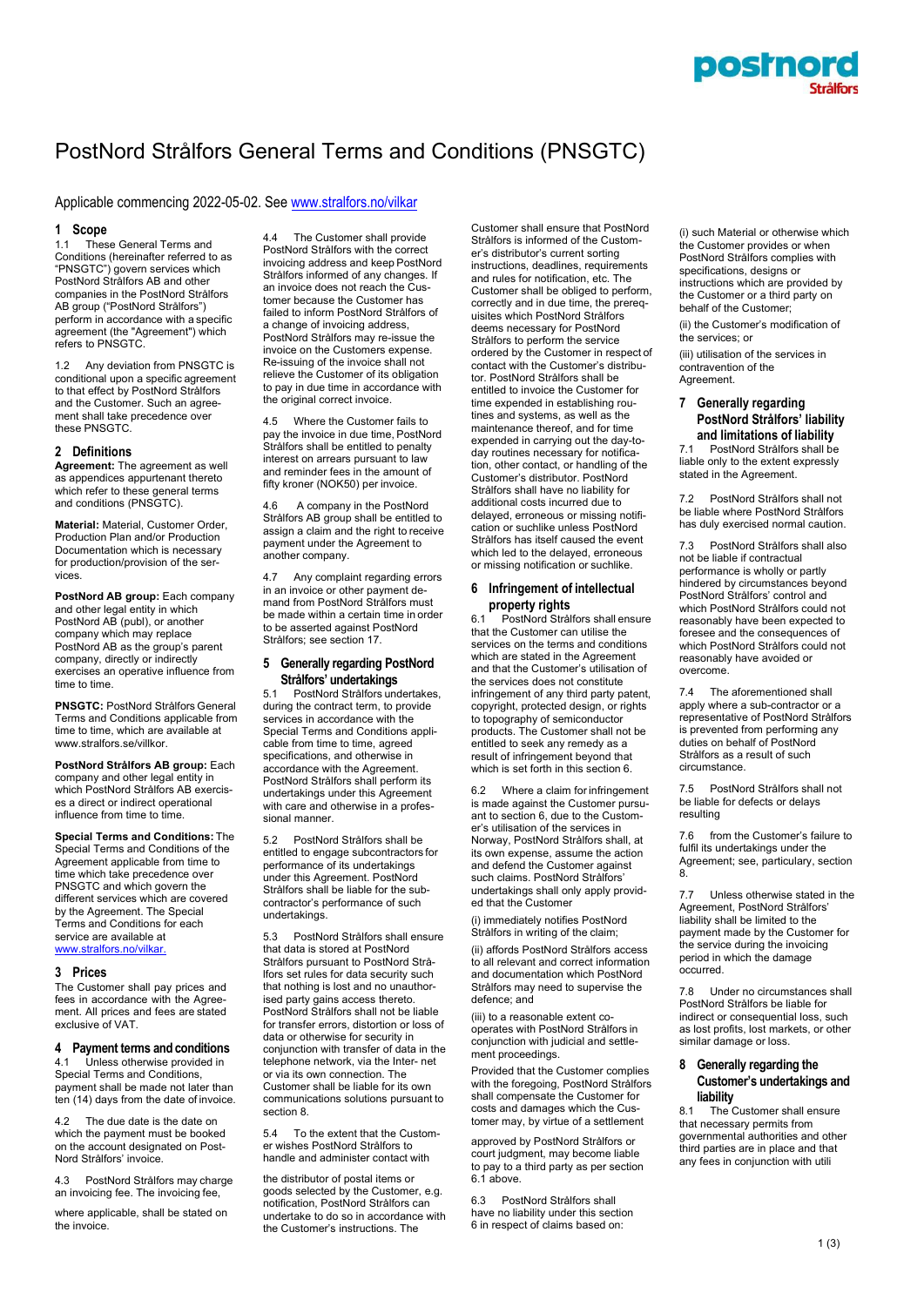

# PostNord Strålfors General Terms and Conditions (PNSGTC)

# Applicable commencing 2022-05-02. Se[e www.stralfors.no/vilkar](http://www.stralfors.no/vilkar)

#### **1 Scope**

1.1 These General Terms and Conditions (hereinafter referred to as "PNSGTC") govern services which PostNord Strålfors AB and other companies in the PostNord Strålfors AB group ("PostNord Strålfors") perform in accordance with a specific agreement (the "Agreement") which refers to PNSGTC.

1.2 Any deviation from PNSGTC is conditional upon a specific agreement to that effect by PostNord Strålfors and the Customer. Such an agreement shall take precedence over these PNSGTC.

#### **2 Definitions**

**Agreement:** The agreement as well as appendices appurtenant thereto which refer to these general terms and conditions (PNSGTC).

**Material:** Material, Customer Order, Production Plan and/or Production Documentation which is necessary for production/provision of the services.

**PostNord AB group:** Each company and other legal entity in which PostNord AB (publ), or another company which may replace PostNord AB as the group's parent company, directly or indirectly exercises an operative influence from time to time.

**PNSGTC:** PostNord Strålfors General Terms and Conditions applicable from time to time, which are available at [www.stralfors.se/villkor.](http://www.stralfors.se/villkor)

**PostNord Strålfors AB group:** Each company and other legal entity in which PostNord Strålfors AB exercises a direct or indirect operational influence from time to time.

**Special Terms and Conditions:** The Special Terms and Conditions of the Agreement applicable from time to time which take precedence over PNSGTC and which govern the different services which are covered by the Agreement. The Special Terms and Conditions for each service are available at [www.stralfors.no/vilkar.](http://www.stralfors.no/vilkar.)

#### **3 Prices**

The Customer shall pay prices and fees in accordance with the Agreement. All prices and fees are stated exclusive of VAT.

# **4 Payment terms and conditions**

Unless otherwise provided in Special Terms and Conditions, payment shall be made not later than ten (14) days from the date of invoice.

4.2 The due date is the date on which the payment must be booked on the account designated on Post-Nord Strålfors' invoice.

4.3 PostNord Strålfors may charge an invoicing fee. The invoicing fee,

where applicable, shall be stated on the invoice.

4.4 The Customer shall provide PostNord Strålfors with the correct invoicing address and keep PostNord Strålfors informed of any changes. If an invoice does not reach the Customer because the Customer has failed to inform PostNord Strålfors of a change of invoicing address, PostNord Strålfors may re-issue the invoice on the Customers expense. Re-issuing of the invoice shall not relieve the Customer of its obligation to pay in due time in accordance with the original correct invoice.

4.5 Where the Customer fails to pay the invoice in due time, PostNord Strålfors shall be entitled to penalty interest on arrears pursuant to law and reminder fees in the amount of fifty kroner (NOK50) per invoice.

4.6 A company in the PostNord Strålfors AB group shall be entitled to assign a claim and the right to receive payment under the Agreement to another company.

4.7 Any complaint regarding errors in an invoice or other payment demand from PostNord Strålfors must be made within a certain time in order to be asserted against PostNord Strålfors; see section 17.

# **5 Generally regarding PostNord Strålfors' undertakings**

5.1 PostNord Strålfors undertakes, during the contract term, to provide services in accordance with the Special Terms and Conditions applicable from time to time, agreed specifications, and otherwise in accordance with the Agreement. PostNord Strålfors shall perform its undertakings under this Agreement with care and otherwise in a professional manner.

5.2 PostNord Strålfors shall be entitled to engage subcontractors for performance of its undertakings under this Agreement. PostNord Strålfors shall be liable for the subcontractor's performance of such undertakings.

5.3 PostNord Strålfors shall ensure that data is stored at PostNord Strålfors pursuant to PostNord Strålfors set rules for data security such that nothing is lost and no unauthorised party gains access thereto. PostNord Strålfors shall not be liable for transfer errors, distortion or loss of data or otherwise for security in conjunction with transfer of data in the telephone network, via the Inter- net or via its own connection. The Customer shall be liable for its own communications solutions pursuant to section 8.

5.4 To the extent that the Customer wishes PostNord Strålfors to handle and administer contact with

the distributor of postal items or goods selected by the Customer, e.g. notification, PostNord Strålfors can undertake to do so in accordance with the Customer's instructions. The

Customer shall ensure that PostNord Strålfors is informed of the Customer's distributor's current sorting instructions, deadlines, requirements and rules for notification, etc. The Customer shall be obliged to perform, correctly and in due time, the prerequisites which PostNord Strålfors deems necessary for PostNord Strålfors to perform the service ordered by the Customer in respect of contact with the Customer's distributor. PostNord Strålfors shall be entitled to invoice the Customer for time expended in establishing routines and systems, as well as the maintenance thereof, and for time expended in carrying out the day-today routines necessary for notification, other contact, or handling of the Customer's distributor. PostNord Strålfors shall have no liability for additional costs incurred due to delayed, erroneous or missing notification or suchlike unless PostNord Strålfors has itself caused the event which led to the delayed, erroneous or missing notification or suchlike.

# **6 Infringement of intellectual property rights**

6.1 PostNord Strålfors shall ensure that the Customer can utilise the services on the terms and conditions which are stated in the Agreement and that the Customer's utilisation of the services does not constitute infringement of any third party patent, copyright, protected design, or rights to topography of semiconductor products. The Customer shall not be entitled to seek any remedy as a result of infringement beyond that which is set forth in this section 6.

6.2 Where a claim for infringement is made against the Customer pursuant to section 6, due to the Customer's utilisation of the services in Norway, PostNord Strålfors shall, at its own expense, assume the action and defend the Customer against such claims. PostNord Strålfors' undertakings shall only apply provided that the Customer

(i) immediately notifies PostNord Strålfors in writing of the claim;

(ii) affords PostNord Strålfors access to all relevant and correct information and documentation which PostNord Strålfors may need to supervise the defence; and

(iii) to a reasonable extent cooperates with PostNord Strålfors in conjunction with judicial and settlement proceedings.

Provided that the Customer complies with the foregoing, PostNord Strålfors shall compensate the Customer for costs and damages which the Customer may, by virtue of a settlement

approved by PostNord Strålfors or court judgment, may become liable to pay to a third party as per section 6.1 above.

6.3 PostNord Strålfors shall have no liability under this section 6 in respect of claims based on:

(i) such Material or otherwise which the Customer provides or when PostNord Strålfors complies with specifications, designs or instructions which are provided by the Customer or a third party on behalf of the Customer;

(ii) the Customer's modification of the services; or

(iii) utilisation of the services in contravention of the Agreement.

# **7 Generally regarding PostNord Strålfors' liability and limitations of liability**<br>7.1 PostNord Strålfors shall be

PostNord Strålfors shall be liable only to the extent expressly stated in the Agreement.

7.2 PostNord Strålfors shall not be liable where PostNord Strålfors has duly exercised normal caution.

7.3 PostNord Strålfors shall also not be liable if contractual performance is wholly or partly hindered by circumstances beyond PostNord Strålfors' control and which PostNord Strålfors could not reasonably have been expected to foresee and the consequences of which PostNord Strålfors could not reasonably have avoided or overcome.

The aforementioned shall apply where a sub-contractor or a representative of PostNord Strålfors is prevented from performing any duties on behalf of PostNord Strålfors as a result of such circumstance.

7.5 PostNord Strålfors shall not be liable for defects or delays resulting

7.6 from the Customer's failure to fulfil its undertakings under the Agreement; see, particulary, section 8.

7.7 Unless otherwise stated in the Agreement, PostNord Strålfors' liability shall be limited to the payment made by the Customer for the service during the invoicing period in which the damage occurred.

7.8 Under no circumstances shall PostNord Strålfors be liable for indirect or consequential loss, such as lost profits, lost markets, or other similar damage or loss.

# **8 Generally regarding the Customer's undertakings and liability**<br>8.1 The (

The Customer shall ensure that necessary permits from governmental authorities and other third parties are in place and that any fees in conjunction with utili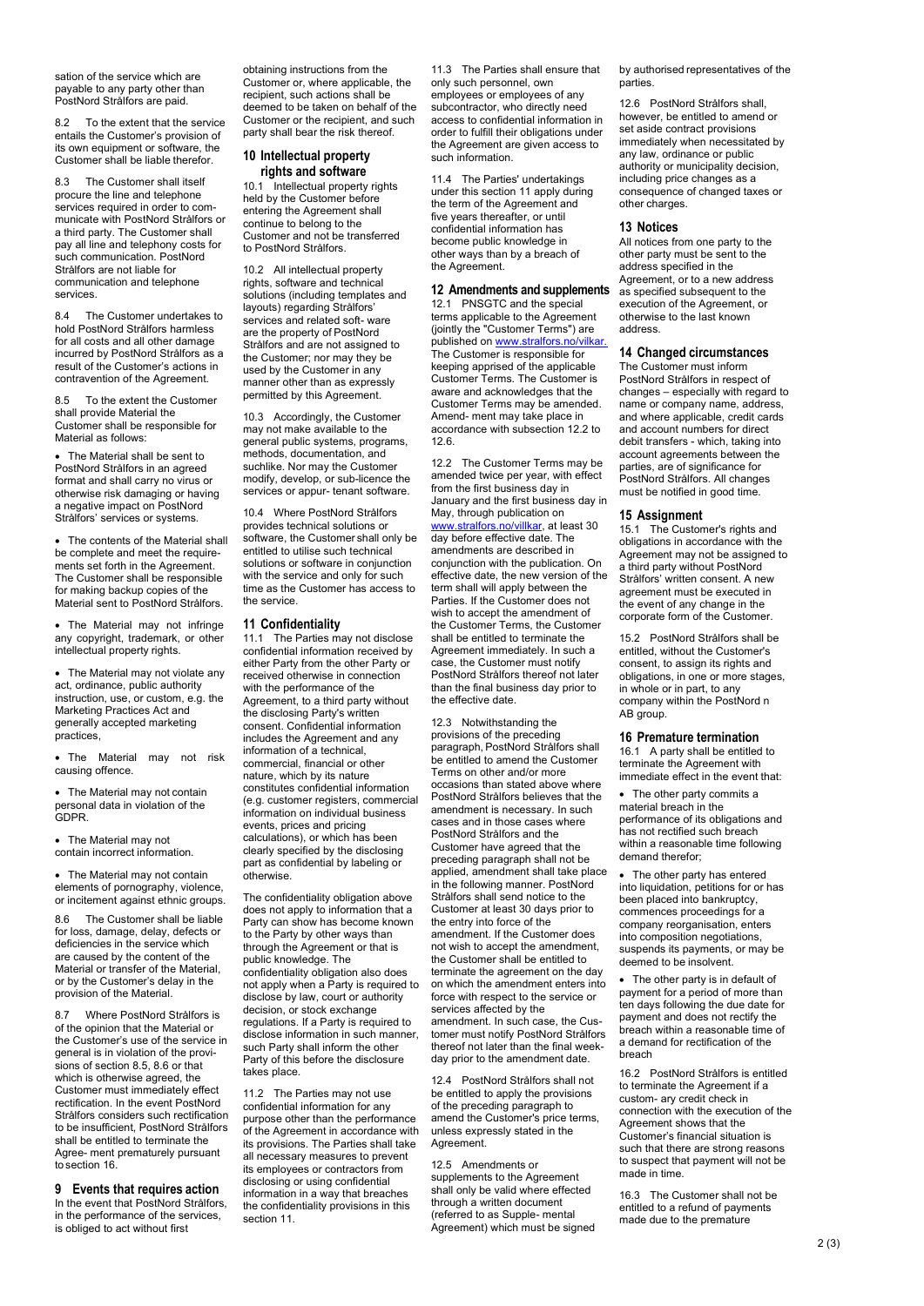sation of the service which are payable to any party other than PostNord Strålfors are paid.

8.2 To the extent that the service entails the Customer's provision of its own equipment or software, the Customer shall be liable therefor.

8.3 The Customer shall itself procure the line and telephone services required in order to communicate with PostNord Strålfors or a third party. The Customer shall pay all line and telephony costs for such communication. PostNord Strålfors are not liable for communication and telephone services.

8.4 The Customer undertakes to hold PostNord Strålfors harmless for all costs and all other damage incurred by PostNord Strålfors as a result of the Customer's actions in contravention of the Agreement.

8.5 To the extent the Customer shall provide Material the Customer shall be responsible for Material as follows:

• The Material shall be sent to PostNord Strålfors in an agreed format and shall carry no virus or otherwise risk damaging or having a negative impact on PostNord Strålfors' services or systems.

The contents of the Material shall be complete and meet the requirements set forth in the Agreement. The Customer shall be responsible for making backup copies of the Material sent to PostNord Strålfors.

• The Material may not infringe any copyright, trademark, or other intellectual property rights.

• The Material may not violate any act, ordinance, public authority instruction, use, or custom, e.g. the Marketing Practices Act and generally accepted marketing **practices** 

• The Material may not risk causing offence.

• The Material may not contain personal data in violation of the GDPR.

• The Material may not contain incorrect information.

• The Material may not contain elements of pornography, violence, or incitement against ethnic groups.

8.6 The Customer shall be liable for loss, damage, delay, defects or deficiencies in the service which are caused by the content of the Material or transfer of the Material, or by the Customer's delay in the provision of the Material.

8.7 Where PostNord Strålfors is of the opinion that the Material or the Customer's use of the service in general is in violation of the provisions of section 8.5, 8.6 or that which is otherwise agreed, the Customer must immediately effect rectification. In the event PostNord Strålfors considers such rectification to be insufficient, PostNord Strålfors shall be entitled to terminate the Agree- ment prematurely pursuant to section 16

### **9 Events that requires action**

In the event that PostNord Strålfors, in the performance of the services, is obliged to act without first

obtaining instructions from the Customer or, where applicable, the recipient, such actions shall be deemed to be taken on behalf of the Customer or the recipient, and such party shall bear the risk thereof.

# **10 Intellectual property rights and software**

10.1 Intellectual property rights held by the Customer before entering the Agreement shall continue to belong to the Customer and not be transferred to PostNord Strålfors.

10.2 All intellectual property rights, software and technical solutions (including templates and layouts) regarding Strålfors' services and related soft- ware are the property of PostNord Strålfors and are not assigned to the Customer; nor may they be used by the Customer in any manner other than as expressly permitted by this Agreement.

10.3 Accordingly, the Customer may not make available to the general public systems, programs, methods, documentation, and suchlike. Nor may the Customer modify, develop, or sub-licence the services or appur- tenant software.

10.4 Where PostNord Strålfors provides technical solutions or software, the Customer shall only be entitled to utilise such technical solutions or software in conjunction with the service and only for such time as the Customer has access to the service.

#### **11 Confidentiality**

11.1 The Parties may not disclose confidential information received by either Party from the other Party or received otherwise in connection with the performance of the Agreement, to a third party without the disclosing Party's written consent. Confidential information includes the Agreement and any information of a technical, commercial, financial or other nature, which by its nature constitutes confidential information (e.g. customer registers, commercial information on individual business events, prices and pricing calculations), or which has been clearly specified by the disclosing part as confidential by labeling or otherwise.

The confidentiality obligation above does not apply to information that a Party can show has become known to the Party by other ways than through the Agreement or that is public knowledge. The confidentiality obligation also does not apply when a Party is required to disclose by law, court or authority decision, or stock exchange regulations. If a Party is required to disclose information in such manner, such Party shall inform the other Party of this before the disclosure takes place.

11.2 The Parties may not use confidential information for any purpose other than the performance of the Agreement in accordance with its provisions. The Parties shall take all necessary measures to prevent its employees or contractors from disclosing or using confidential information in a way that breaches the confidentiality provisions in this section 11.

11.3 The Parties shall ensure that only such personnel, own employees or employees of any subcontractor, who directly need access to confidential information in order to fulfill their obligations under the Agreement are given access to such information.

11.4 The Parties' undertakings under this section 11 apply during the term of the Agreement and five years thereafter, or until confidential information has become public knowledge in other ways than by a breach of the Agreement.

#### **12 Amendments and supplements**

12.1 PNSGTC and the special terms applicable to the Agreement (jointly the "Customer Terms") are published on <u>www.stralfors.no/vilkar.</u> The Customer is responsible for keeping apprised of the applicable Customer Terms. The Customer is aware and acknowledges that the Customer Terms may be amended. Amend- ment may take place in accordance with subsection 12.2 to 12.6.

12.2 The Customer Terms may be amended twice per year, with effect from the first business day in January and the first business day in May, through publication on stralfors.no/villkar, at least 30. day before effective date. The amendments are described in conjunction with the publication. On effective date, the new version of the term shall will apply between the Parties. If the Customer does not wish to accept the amendment of the Customer Terms, the Customer shall be entitled to terminate the Agreement immediately. In such a case, the Customer must notify PostNord Strålfors thereof not later than the final business day prior to the effective date.

12.3 Notwithstanding the provisions of the preceding paragraph, PostNord Strålfors shall be entitled to amend the Customer Terms on other and/or more occasions than stated above where PostNord Strålfors believes that the amendment is necessary. In such cases and in those cases where PostNord Strålfors and the Customer have agreed that the preceding paragraph shall not be applied, amendment shall take place in the following manner. PostNord Strålfors shall send notice to the Customer at least 30 days prior to the entry into force of the amendment. If the Customer does not wish to accept the amendment, the Customer shall be entitled to terminate the agreement on the day on which the amendment enters into force with respect to the service or services affected by the amendment. In such case, the Customer must notify PostNord Strålfors thereof not later than the final weekday prior to the amendment date.

12.4 PostNord Strålfors shall not be entitled to apply the provisions of the preceding paragraph to amend the Customer's price terms, unless expressly stated in the Agreement.

12.5 Amendments or supplements to the Agreement shall only be valid where effected through a written document (referred to as Supple- mental Agreement) which must be signed by authorised representatives of the parties.

12.6 PostNord Strålfors shall, however, be entitled to amend or set aside contract provisions immediately when necessitated by any law, ordinance or public authority or municipality decision. including price changes as a consequence of changed taxes or other charges.

#### **13 Notices**

All notices from one party to the other party must be sent to the address specified in the Agreement, or to a new address as specified subsequent to the execution of the Agreement, or otherwise to the last known address.

### **14 Changed circumstances**

The Customer must inform PostNord Strålfors in respect of changes – especially with regard to name or company name, address, and where applicable, credit cards and account numbers for direct debit transfers - which, taking into account agreements between the parties, are of significance for PostNord Strålfors. All changes must be notified in good time.

#### **15 Assignment**

15.1 The Customer's rights and obligations in accordance with the Agreement may not be assigned to a third party without PostNord Strålfors' written consent. A new agreement must be executed in the event of any change in the corporate form of the Customer.

15.2 PostNord Strålfors shall be entitled, without the Customer's consent, to assign its rights and obligations, in one or more stages, in whole or in part, to any company within the PostNord n AB group.

#### **16 Premature termination**

16.1 A party shall be entitled to terminate the Agreement with immediate effect in the event that:

The other party commits a material breach in the performance of its obligations and has not rectified such breach within a reasonable time following demand therefor;

The other party has entered into liquidation, petitions for or has been placed into bankruptcy, commences proceedings for a company reorganisation, enters into composition negotiations, suspends its payments, or may be deemed to be insolvent.

• The other party is in default of payment for a period of more than ten days following the due date for payment and does not rectify the breach within a reasonable time of a demand for rectification of the breach

16.2 PostNord Strålfors is entitled to terminate the Agreement if a custom- ary credit check in connection with the execution of the Agreement shows that the Customer's financial situation is such that there are strong reasons to suspect that payment will not be made in time.

16.3 The Customer shall not be entitled to a refund of payments made due to the premature